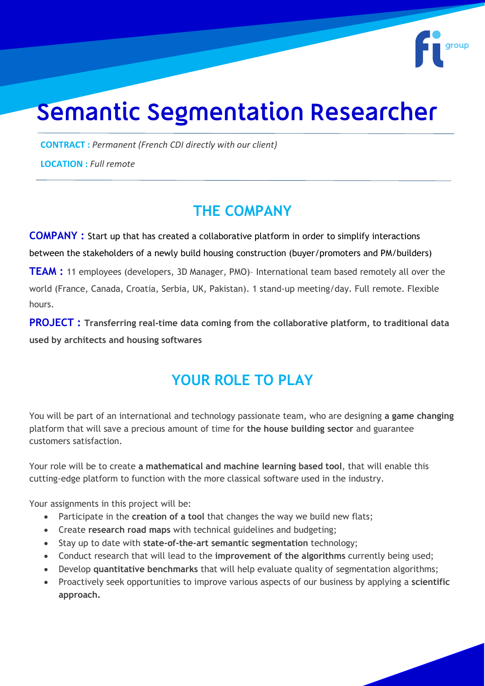# **Semantic Segmentation Researcher**

**CONTRACT :** *Permanent (French CDI directly with our client)*

**LOCATION :** *Full remote*

## **THE COMPANY**

**COMPANY :** Start up that has created a collaborative platform in order to simplify interactions between the stakeholders of a newly build housing construction (buyer/promoters and PM/builders)

**TEAM :** 11 employees (developers, 3D Manager, PMO)– International team based remotely all over the world (France, Canada, Croatia, Serbia, UK, Pakistan). 1 stand-up meeting/day. Full remote. Flexible hours.

**PROJECT : Transferring real-time data coming from the collaborative platform, to traditional data used by architects and housing softwares**

# **YOUR ROLE TO PLAY**

You will be part of an international and technology passionate team, who are designing **a game changing** platform that will save a precious amount of time for **the house building sector** and guarantee customers satisfaction.

Your role will be to create **a mathematical and machine learning based tool**, that will enable this cutting-edge platform to function with the more classical software used in the industry.

Your assignments in this project will be:

- Participate in the **creation of a tool** that changes the way we build new flats;
- Create **research road maps** with technical guidelines and budgeting;
- Stay up to date with **state-of-the-art semantic segmentation** technology;
- Conduct research that will lead to the **improvement of the algorithms** currently being used;
- Develop **quantitative benchmarks** that will help evaluate quality of segmentation algorithms;
- Proactively seek opportunities to improve various aspects of our business by applying a **scientific approach.**